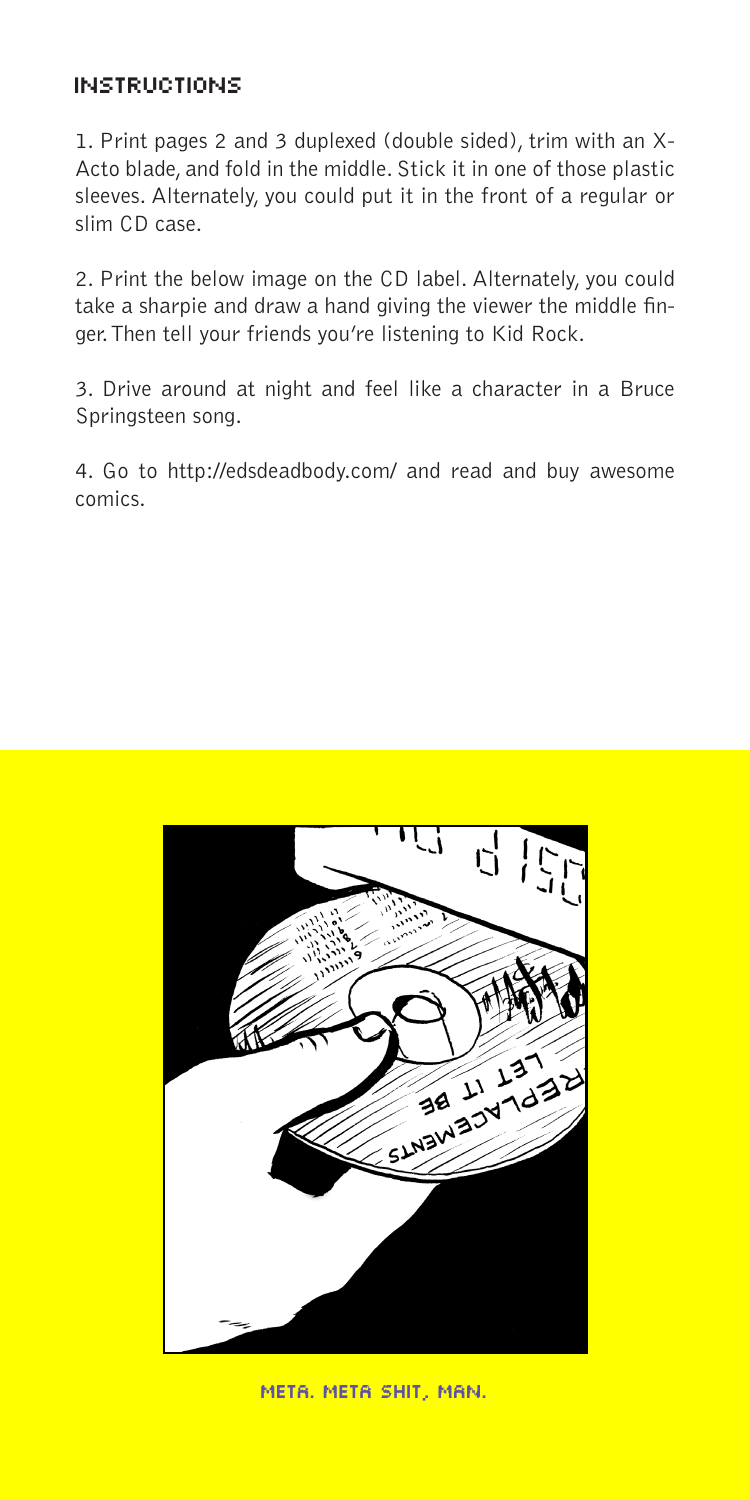# INSTRUCTIONS

1. Print pages 2 and 3 duplexed (double sided), trim with an X-Acto blade, and fold in the middle. Stick it in one of those plastic sleeves. Alternately, you could put it in the front of a regular or slim CD case.

2. Print the below image on the CD label. Alternately, you could take a sharpie and draw a hand giving the viewer the middle finger. Then tell your friends you're listening to Kid Rock.

3. Drive around at night and feel like a character in a Bruce Springsteen song.

4. Go to http://edsdeadbody.com/ and read and buy awesome comics.



meta. meta shit, man.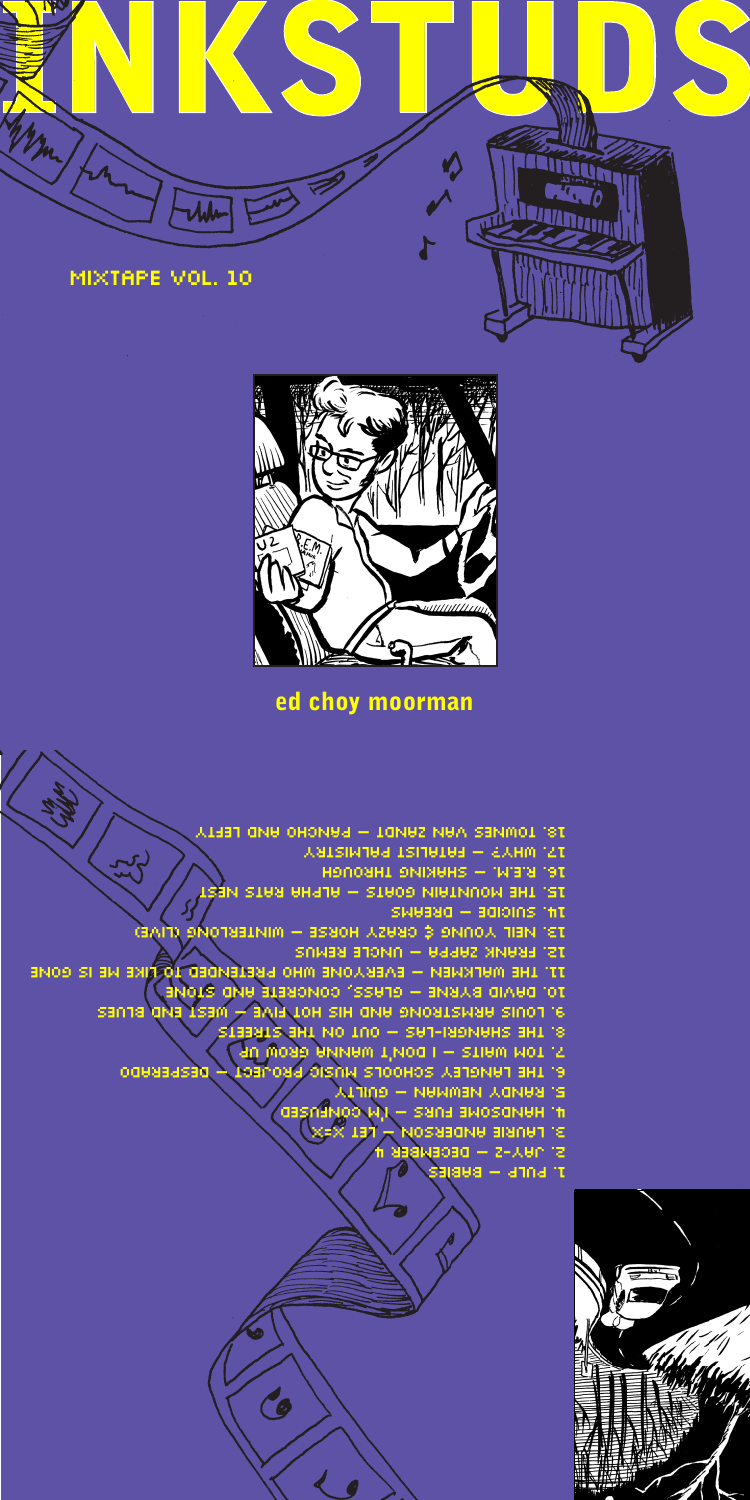



ed choy moorman

1. PULP – BABIES 2. JAY-Z – DECEMBER 4 3. LAURIE ANDERSON – LET X=X 4. HANDSOME FURS – I'M CONFUSED 5. RANDY NEWMAN – GUILTY 5. TOM WAITS – I DOM'T WANNA GROW UP<br>6. THE LANGLEY SCHOOLS MUSIC PROJECT – RESPERADO 8. THE SHANGRI-LAS – OUT ON THE STREETS 9. LOUIS ARMSTRONg AND HIS HOT FIVE – WEST END BLUES 10. DAVID BYRNE – GLASS, CONCRETE AND STONE 11. THE WALKMEN – EVERYONE WHO PRETENDED TO LIKE ME IS GONE 12. FRANK ZAPPA – UNCLE REMUS 13. NEIL YOUNG & CRAZY HORSE – WINTERLONG (LIVE) 14. SUICIDE – DREAMS 15. THE MOUNTAIN GOATS – ALPHA RATS NEST 16. R.E.M. – SHAKING THROUGH 17. WHY? – FATALIST PALMISTRY 18. TOWNES VAN ZANDT – PaNCHO AND LEFTY

Co